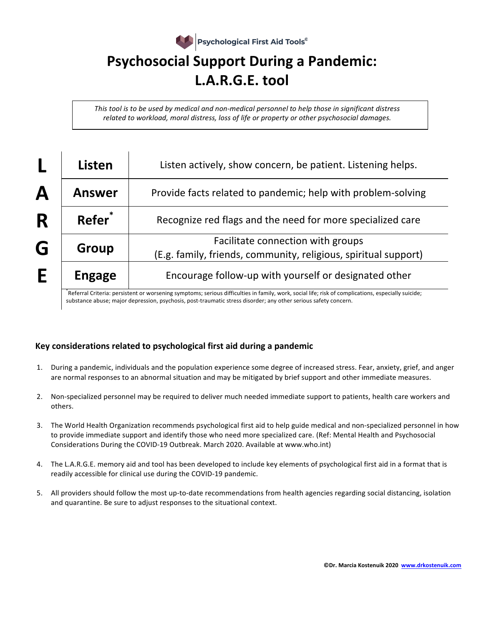

*This* tool is to be used by medical and non-medical personnel to help those in significant distress *related to workload, moral distress, loss of life or property or other psychosocial damages.* 

|   | Listen             | Listen actively, show concern, be patient. Listening helps.                                          |
|---|--------------------|------------------------------------------------------------------------------------------------------|
| Α | <b>Answer</b>      | Provide facts related to pandemic; help with problem-solving                                         |
| R | Refer <sup>*</sup> | Recognize red flags and the need for more specialized care                                           |
| G | Group              | Facilitate connection with groups<br>(E.g. family, friends, community, religious, spiritual support) |
| E | <b>Engage</b>      | Encourage follow-up with yourself or designated other                                                |

\*Referral Criteria: persistent or worsening symptoms; serious difficulties in family, work, social life; risk of complications, especially suicide; substance abuse; major depression, psychosis, post-traumatic stress disorder; any other serious safety concern.

## **Key considerations related to psychological first aid during a pandemic**

- 1. During a pandemic, individuals and the population experience some degree of increased stress. Fear, anxiety, grief, and anger are normal responses to an abnormal situation and may be mitigated by brief support and other immediate measures.
- 2. Non-specialized personnel may be required to deliver much needed immediate support to patients, health care workers and others.
- 3. The World Health Organization recommends psychological first aid to help guide medical and non-specialized personnel in how to provide immediate support and identify those who need more specialized care. (Ref: Mental Health and Psychosocial Considerations During the COVID-19 Outbreak. March 2020. Available at www.who.int)
- 4. The L.A.R.G.E. memory aid and tool has been developed to include key elements of psychological first aid in a format that is readily accessible for clinical use during the COVID-19 pandemic.
- 5. All providers should follow the most up-to-date recommendations from health agencies regarding social distancing, isolation and quarantine. Be sure to adjust responses to the situational context.